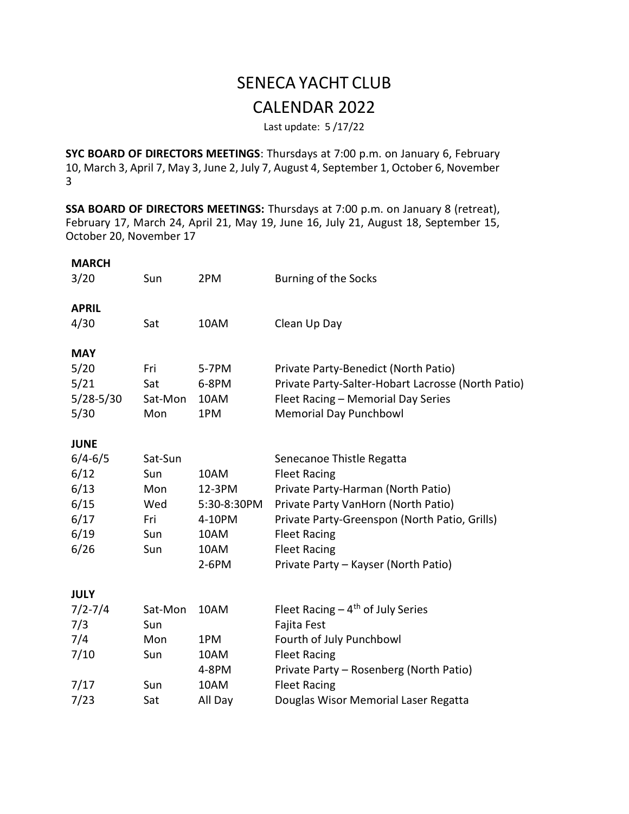## SENECA YACHT CLUB CALENDAR 2022

Last update: 5 /17/22

SYC BOARD OF DIRECTORS MEETINGS: Thursdays at 7:00 p.m. on January 6, February 10, March 3, April 7, May 3, June 2, July 7, August 4, September 1, October 6, November 3

SSA BOARD OF DIRECTORS MEETINGS: Thursdays at 7:00 p.m. on January 8 (retreat), February 17, March 24, April 21, May 19, June 16, July 21, August 18, September 15, October 20, November 17

| <b>MARCH</b><br>3/20 | Sun     | 2PM         | Burning of the Socks                               |
|----------------------|---------|-------------|----------------------------------------------------|
| <b>APRIL</b>         |         |             |                                                    |
| 4/30                 | Sat     | 10AM        | Clean Up Day                                       |
| <b>MAY</b>           |         |             |                                                    |
| 5/20                 | Fri     | 5-7PM       | Private Party-Benedict (North Patio)               |
| 5/21                 | Sat     | 6-8PM       | Private Party-Salter-Hobart Lacrosse (North Patio) |
| $5/28 - 5/30$        | Sat-Mon | 10AM        | Fleet Racing - Memorial Day Series                 |
| 5/30                 | Mon     | 1PM         | <b>Memorial Day Punchbowl</b>                      |
| <b>JUNE</b>          |         |             |                                                    |
| $6/4 - 6/5$          | Sat-Sun |             | Senecanoe Thistle Regatta                          |
| 6/12                 | Sun     | 10AM        | <b>Fleet Racing</b>                                |
| 6/13                 | Mon     | 12-3PM      | Private Party-Harman (North Patio)                 |
| 6/15                 | Wed     | 5:30-8:30PM | Private Party VanHorn (North Patio)                |
| 6/17                 | Fri     | 4-10PM      | Private Party-Greenspon (North Patio, Grills)      |
| 6/19                 | Sun     | 10AM        | <b>Fleet Racing</b>                                |
| 6/26                 | Sun     | 10AM        | <b>Fleet Racing</b>                                |
|                      |         | $2-6PM$     | Private Party - Kayser (North Patio)               |
| <b>JULY</b>          |         |             |                                                    |
| $7/2 - 7/4$          | Sat-Mon | 10AM        | Fleet Racing $-4$ <sup>th</sup> of July Series     |
| 7/3                  | Sun     |             | Fajita Fest                                        |
| 7/4                  | Mon     | 1PM         | Fourth of July Punchbowl                           |
| 7/10                 | Sun     | 10AM        | <b>Fleet Racing</b>                                |
|                      |         | 4-8PM       | Private Party - Rosenberg (North Patio)            |
| 7/17                 | Sun     | 10AM        | <b>Fleet Racing</b>                                |
| 7/23                 | Sat     | All Day     | Douglas Wisor Memorial Laser Regatta               |